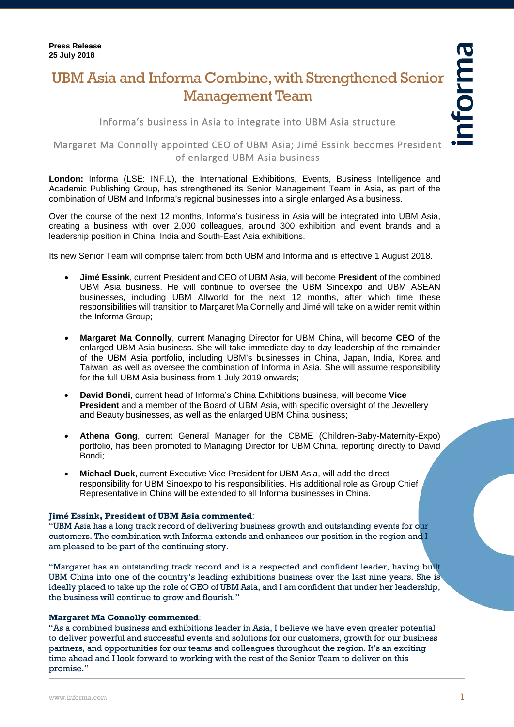# UBM Asia and Informa Combine, with Strengthened Senior Management Team

Informa's business in Asia to integrate into UBM Asia structure

## Margaret Ma Connolly appointed CEO of UBM Asia; Jimé Essink becomes President of enlarged UBM Asia business

**London:** Informa (LSE: INF.L), the International Exhibitions, Events, Business Intelligence and Academic Publishing Group, has strengthened its Senior Management Team in Asia, as part of the combination of UBM and Informa's regional businesses into a single enlarged Asia business.

Over the course of the next 12 months, Informa's business in Asia will be integrated into UBM Asia, creating a business with over 2,000 colleagues, around 300 exhibition and event brands and a leadership position in China, India and South-East Asia exhibitions.

Its new Senior Team will comprise talent from both UBM and Informa and is effective 1 August 2018.

- **Jimé Essink**, current President and CEO of UBM Asia, will become **President** of the combined UBM Asia business. He will continue to oversee the UBM Sinoexpo and UBM ASEAN businesses, including UBM Allworld for the next 12 months, after which time these responsibilities will transition to Margaret Ma Connelly and Jimé will take on a wider remit within the Informa Group;
- **Margaret Ma Connolly**, current Managing Director for UBM China, will become **CEO** of the enlarged UBM Asia business. She will take immediate day-to-day leadership of the remainder of the UBM Asia portfolio, including UBM's businesses in China, Japan, India, Korea and Taiwan, as well as oversee the combination of Informa in Asia. She will assume responsibility for the full UBM Asia business from 1 July 2019 onwards;
- **David Bondi**, current head of Informa's China Exhibitions business, will become **Vice President** and a member of the Board of UBM Asia, with specific oversight of the Jewellery and Beauty businesses, as well as the enlarged UBM China business;
- **Athena Gong**, current General Manager for the CBME (Children-Baby-Maternity-Expo) portfolio, has been promoted to Managing Director for UBM China, reporting directly to David Bondi;
- **Michael Duck**, current Executive Vice President for UBM Asia, will add the direct responsibility for UBM Sinoexpo to his responsibilities. His additional role as Group Chief Representative in China will be extended to all Informa businesses in China.

#### **Jimé Essink, President of UBM Asia commented**:

"UBM Asia has a long track record of delivering business growth and outstanding events for our customers. The combination with Informa extends and enhances our position in the region and I am pleased to be part of the continuing story.

"Margaret has an outstanding track record and is a respected and confident leader, having built UBM China into one of the country's leading exhibitions business over the last nine years. She is ideally placed to take up the role of CEO of UBM Asia, and I am confident that under her leadership, the business will continue to grow and flourish."

#### **Margaret Ma Connolly commented**:

"As a combined business and exhibitions leader in Asia, I believe we have even greater potential to deliver powerful and successful events and solutions for our customers, growth for our business partners, and opportunities for our teams and colleagues throughout the region. It's an exciting time ahead and I look forward to working with the rest of the Senior Team to deliver on this promise."